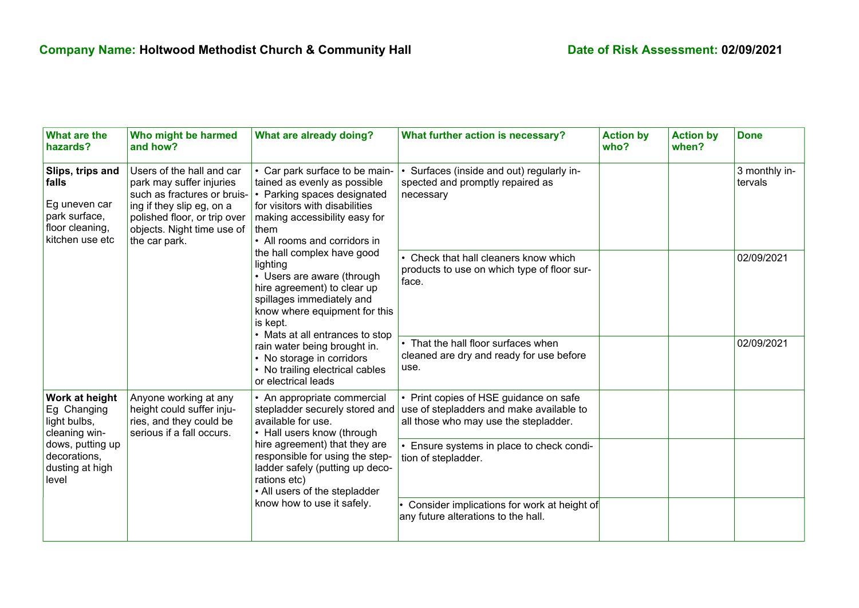| What are the<br>hazards?                                                                                                       | Who might be harmed<br>and how?                                                                                                                                                                  | What are already doing?                                                                                                                                                                                                                                                                                                                                                                                                                                                                                                                             | What further action is necessary?                                                                                           | <b>Action by</b><br>who? | <b>Action by</b><br>when? | <b>Done</b>              |
|--------------------------------------------------------------------------------------------------------------------------------|--------------------------------------------------------------------------------------------------------------------------------------------------------------------------------------------------|-----------------------------------------------------------------------------------------------------------------------------------------------------------------------------------------------------------------------------------------------------------------------------------------------------------------------------------------------------------------------------------------------------------------------------------------------------------------------------------------------------------------------------------------------------|-----------------------------------------------------------------------------------------------------------------------------|--------------------------|---------------------------|--------------------------|
| Slips, trips and<br>falls<br>Eg uneven car<br>park surface,<br>floor cleaning,<br>kitchen use etc                              | Users of the hall and car<br>park may suffer injuries<br>such as fractures or bruis-<br>ing if they slip eg, on a<br>polished floor, or trip over<br>objects. Night time use of<br>the car park. | • Car park surface to be main-<br>tained as evenly as possible<br>• Parking spaces designated<br>for visitors with disabilities<br>making accessibility easy for<br>them<br>• All rooms and corridors in<br>the hall complex have good<br>lighting<br>• Users are aware (through<br>hire agreement) to clear up<br>spillages immediately and<br>know where equipment for this<br>is kept.<br>• Mats at all entrances to stop<br>rain water being brought in.<br>• No storage in corridors<br>• No trailing electrical cables<br>or electrical leads | Surfaces (inside and out) regularly in-<br>spected and promptly repaired as<br>necessary                                    |                          |                           | 3 monthly in-<br>tervals |
|                                                                                                                                |                                                                                                                                                                                                  |                                                                                                                                                                                                                                                                                                                                                                                                                                                                                                                                                     | • Check that hall cleaners know which<br>products to use on which type of floor sur-<br>face.                               |                          |                           | 02/09/2021               |
|                                                                                                                                |                                                                                                                                                                                                  |                                                                                                                                                                                                                                                                                                                                                                                                                                                                                                                                                     | • That the hall floor surfaces when<br>cleaned are dry and ready for use before<br>use.                                     |                          |                           | 02/09/2021               |
| Work at height<br>Eg Changing<br>light bulbs,<br>cleaning win-<br>dows, putting up<br>decorations,<br>dusting at high<br>level | Anyone working at any<br>height could suffer inju-<br>ries, and they could be<br>serious if a fall occurs.                                                                                       | • An appropriate commercial<br>stepladder securely stored and<br>available for use.<br>• Hall users know (through<br>hire agreement) that they are<br>responsible for using the step-<br>ladder safely (putting up deco-<br>rations etc)<br>• All users of the stepladder<br>know how to use it safely.                                                                                                                                                                                                                                             | • Print copies of HSE guidance on safe<br>use of stepladders and make available to<br>all those who may use the stepladder. |                          |                           |                          |
|                                                                                                                                |                                                                                                                                                                                                  |                                                                                                                                                                                                                                                                                                                                                                                                                                                                                                                                                     | Ensure systems in place to check condi-<br>tion of stepladder.                                                              |                          |                           |                          |
|                                                                                                                                |                                                                                                                                                                                                  |                                                                                                                                                                                                                                                                                                                                                                                                                                                                                                                                                     | Consider implications for work at height of<br>any future alterations to the hall.                                          |                          |                           |                          |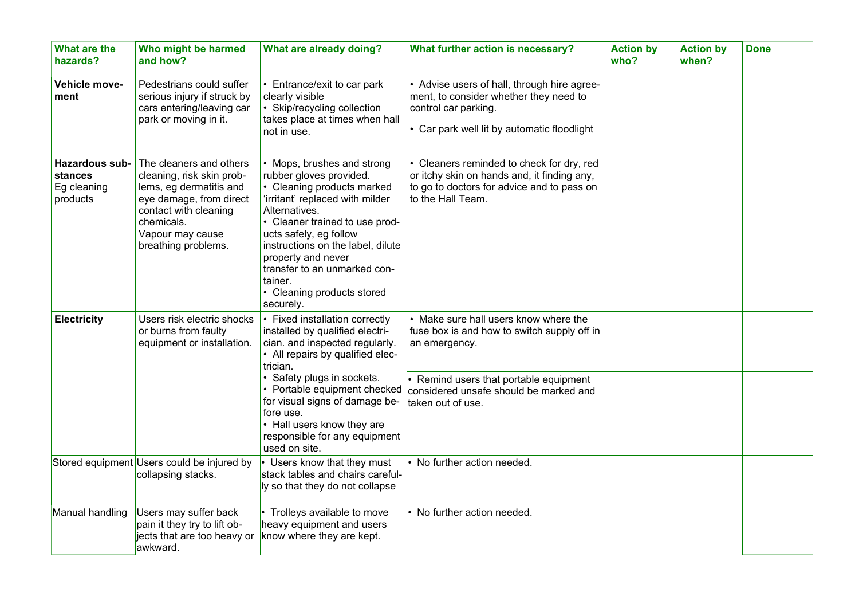| What are the<br>hazards?                             | Who might be harmed<br>and how?                                                                                                                                                              | What are already doing?                                                                                                                                                                                                                                                                                                                              | What further action is necessary?                                                                                                                         | <b>Action by</b><br>who? | <b>Action by</b><br>when? | <b>Done</b> |
|------------------------------------------------------|----------------------------------------------------------------------------------------------------------------------------------------------------------------------------------------------|------------------------------------------------------------------------------------------------------------------------------------------------------------------------------------------------------------------------------------------------------------------------------------------------------------------------------------------------------|-----------------------------------------------------------------------------------------------------------------------------------------------------------|--------------------------|---------------------------|-------------|
| Vehicle move-<br>ment                                | Pedestrians could suffer<br>serious injury if struck by<br>cars entering/leaving car<br>park or moving in it.                                                                                | Entrance/exit to car park<br>clearly visible<br>• Skip/recycling collection<br>takes place at times when hall<br>not in use.                                                                                                                                                                                                                         | • Advise users of hall, through hire agree-<br>ment, to consider whether they need to<br>control car parking.                                             |                          |                           |             |
|                                                      |                                                                                                                                                                                              |                                                                                                                                                                                                                                                                                                                                                      | • Car park well lit by automatic floodlight                                                                                                               |                          |                           |             |
| Hazardous sub-<br>stances<br>Eg cleaning<br>products | The cleaners and others<br>cleaning, risk skin prob-<br>lems, eg dermatitis and<br>eye damage, from direct<br>contact with cleaning<br>chemicals.<br>Vapour may cause<br>breathing problems. | • Mops, brushes and strong<br>rubber gloves provided.<br>• Cleaning products marked<br>'irritant' replaced with milder<br>Alternatives.<br>• Cleaner trained to use prod-<br>ucts safely, eg follow<br>instructions on the label, dilute<br>property and never<br>transfer to an unmarked con-<br>tainer.<br>• Cleaning products stored<br>securely. | Cleaners reminded to check for dry, red<br>or itchy skin on hands and, it finding any,<br>to go to doctors for advice and to pass on<br>to the Hall Team. |                          |                           |             |
| <b>Electricity</b>                                   | Users risk electric shocks<br>or burns from faulty<br>equipment or installation.                                                                                                             | • Fixed installation correctly<br>installed by qualified electri-<br>cian. and inspected regularly.<br>• All repairs by qualified elec-<br>trician.                                                                                                                                                                                                  | • Make sure hall users know where the<br>fuse box is and how to switch supply off in<br>an emergency.                                                     |                          |                           |             |
|                                                      |                                                                                                                                                                                              | • Safety plugs in sockets.<br>• Portable equipment checked<br>for visual signs of damage be-<br>fore use.<br>• Hall users know they are<br>responsible for any equipment<br>used on site.                                                                                                                                                            | Remind users that portable equipment<br>considered unsafe should be marked and<br>taken out of use.                                                       |                          |                           |             |
|                                                      | Stored equipment Users could be injured by<br>collapsing stacks.                                                                                                                             | Users know that they must<br>stack tables and chairs careful-<br>ly so that they do not collapse                                                                                                                                                                                                                                                     | No further action needed.                                                                                                                                 |                          |                           |             |
| Manual handling                                      | Users may suffer back<br>pain it they try to lift ob-<br>jects that are too heavy or<br>awkward.                                                                                             | Trolleys available to move<br>heavy equipment and users<br>know where they are kept.                                                                                                                                                                                                                                                                 | • No further action needed.                                                                                                                               |                          |                           |             |